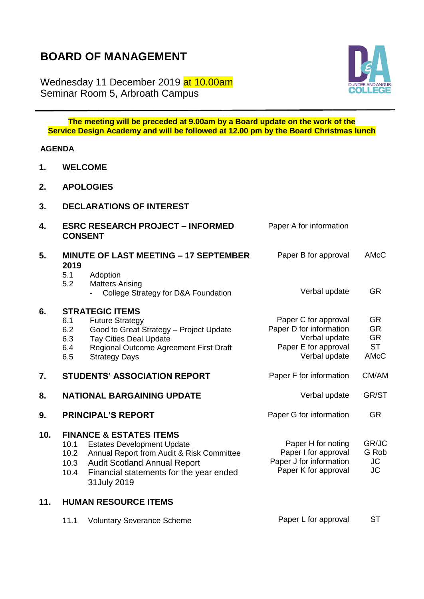## **BOARD OF MANAGEMENT**

Wednesday 11 December 2019 at 10.00am Seminar Room 5, Arbroath Campus



**The meeting will be preceded at 9.00am by a Board update on the work of the Service Design Academy and will be followed at 12.00 pm by the Board Christmas lunch**

## **AGENDA**

- **1. WELCOME**
- **2. APOLOGIES**
- **3. DECLARATIONS OF INTEREST**

| 4.  | <b>ESRC RESEARCH PROJECT - INFORMED</b><br><b>CONSENT</b> |                                                                                                                                                                                                                        | Paper A for information                                                                                   |                                                                 |
|-----|-----------------------------------------------------------|------------------------------------------------------------------------------------------------------------------------------------------------------------------------------------------------------------------------|-----------------------------------------------------------------------------------------------------------|-----------------------------------------------------------------|
| 5.  | 2019<br>5.1<br>5.2                                        | <b>MINUTE OF LAST MEETING - 17 SEPTEMBER</b><br>Adoption<br><b>Matters Arising</b><br>College Strategy for D&A Foundation                                                                                              | Paper B for approval<br>Verbal update                                                                     | AMcC<br><b>GR</b>                                               |
| 6.  | 6.1<br>6.2<br>6.3<br>6.4<br>6.5                           | <b>STRATEGIC ITEMS</b><br><b>Future Strategy</b><br>Good to Great Strategy - Project Update<br><b>Tay Cities Deal Update</b><br>Regional Outcome Agreement First Draft<br><b>Strategy Days</b>                         | Paper C for approval<br>Paper D for information<br>Verbal update<br>Paper E for approval<br>Verbal update | <b>GR</b><br><b>GR</b><br><b>GR</b><br><b>ST</b><br><b>AMcC</b> |
| 7.  |                                                           | <b>STUDENTS' ASSOCIATION REPORT</b>                                                                                                                                                                                    | Paper F for information                                                                                   | CM/AM                                                           |
| 8.  |                                                           | <b>NATIONAL BARGAINING UPDATE</b>                                                                                                                                                                                      | Verbal update                                                                                             | GR/ST                                                           |
| 9.  |                                                           | <b>PRINCIPAL'S REPORT</b>                                                                                                                                                                                              | Paper G for information                                                                                   | <b>GR</b>                                                       |
| 10. | 10.1<br>10.2<br>10.3<br>10.4                              | <b>FINANCE &amp; ESTATES ITEMS</b><br><b>Estates Development Update</b><br>Annual Report from Audit & Risk Committee<br><b>Audit Scotland Annual Report</b><br>Financial statements for the year ended<br>31 July 2019 | Paper H for noting<br>Paper I for approval<br>Paper J for information<br>Paper K for approval             | GR/JC<br>G Rob<br>JC<br><b>JC</b>                               |
|     |                                                           |                                                                                                                                                                                                                        |                                                                                                           |                                                                 |

|  | 11.1 Voluntary Severance Scheme | Paper L for approval | - ST |
|--|---------------------------------|----------------------|------|
|--|---------------------------------|----------------------|------|